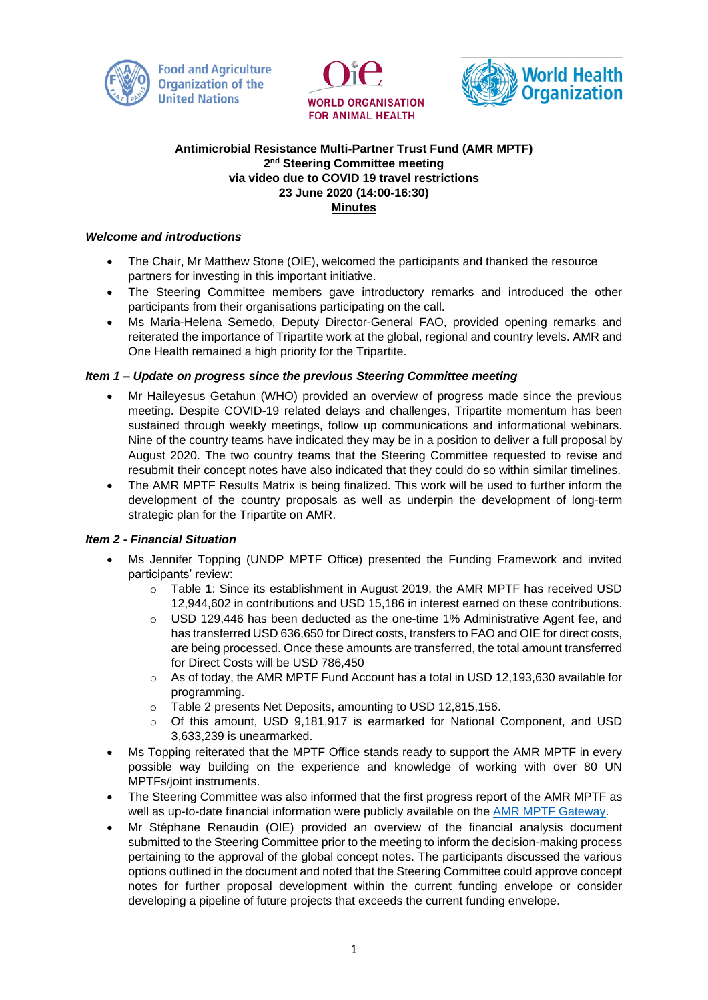





# **Antimicrobial Resistance Multi-Partner Trust Fund (AMR MPTF) 2 nd Steering Committee meeting via video due to COVID 19 travel restrictions 23 June 2020 (14:00-16:30) Minutes**

# *Welcome and introductions*

- The Chair, Mr Matthew Stone (OIE), welcomed the participants and thanked the resource partners for investing in this important initiative.
- The Steering Committee members gave introductory remarks and introduced the other participants from their organisations participating on the call.
- Ms Maria-Helena Semedo, Deputy Director-General FAO, provided opening remarks and reiterated the importance of Tripartite work at the global, regional and country levels. AMR and One Health remained a high priority for the Tripartite.

### *Item 1 – Update on progress since the previous Steering Committee meeting*

- Mr Haileyesus Getahun (WHO) provided an overview of progress made since the previous meeting. Despite COVID-19 related delays and challenges, Tripartite momentum has been sustained through weekly meetings, follow up communications and informational webinars. Nine of the country teams have indicated they may be in a position to deliver a full proposal by August 2020. The two country teams that the Steering Committee requested to revise and resubmit their concept notes have also indicated that they could do so within similar timelines.
- The AMR MPTF Results Matrix is being finalized. This work will be used to further inform the development of the country proposals as well as underpin the development of long-term strategic plan for the Tripartite on AMR.

# *Item 2 - Financial Situation*

- Ms Jennifer Topping (UNDP MPTF Office) presented the Funding Framework and invited participants' review:
	- o Table 1: Since its establishment in August 2019, the AMR MPTF has received USD 12,944,602 in contributions and USD 15,186 in interest earned on these contributions.
	- o USD 129,446 has been deducted as the one-time 1% Administrative Agent fee, and has transferred USD 636,650 for Direct costs, transfers to FAO and OIE for direct costs, are being processed. Once these amounts are transferred, the total amount transferred for Direct Costs will be USD 786,450
	- $\circ$  As of today, the AMR MPTF Fund Account has a total in USD 12,193,630 available for programming.
	- o Table 2 presents Net Deposits, amounting to USD 12,815,156.
	- o Of this amount, USD 9,181,917 is earmarked for National Component, and USD 3,633,239 is unearmarked.
- Ms Topping reiterated that the MPTF Office stands ready to support the AMR MPTF in every possible way building on the experience and knowledge of working with over 80 UN MPTFs/joint instruments.
- The Steering Committee was also informed that the first progress report of the AMR MPTF as well as up-to-date financial information were publicly available on the [AMR MPTF Gateway.](http://mptf.undp.org/factsheet/fund/AMR00)
- Mr Stéphane Renaudin (OIE) provided an overview of the financial analysis document submitted to the Steering Committee prior to the meeting to inform the decision-making process pertaining to the approval of the global concept notes. The participants discussed the various options outlined in the document and noted that the Steering Committee could approve concept notes for further proposal development within the current funding envelope or consider developing a pipeline of future projects that exceeds the current funding envelope.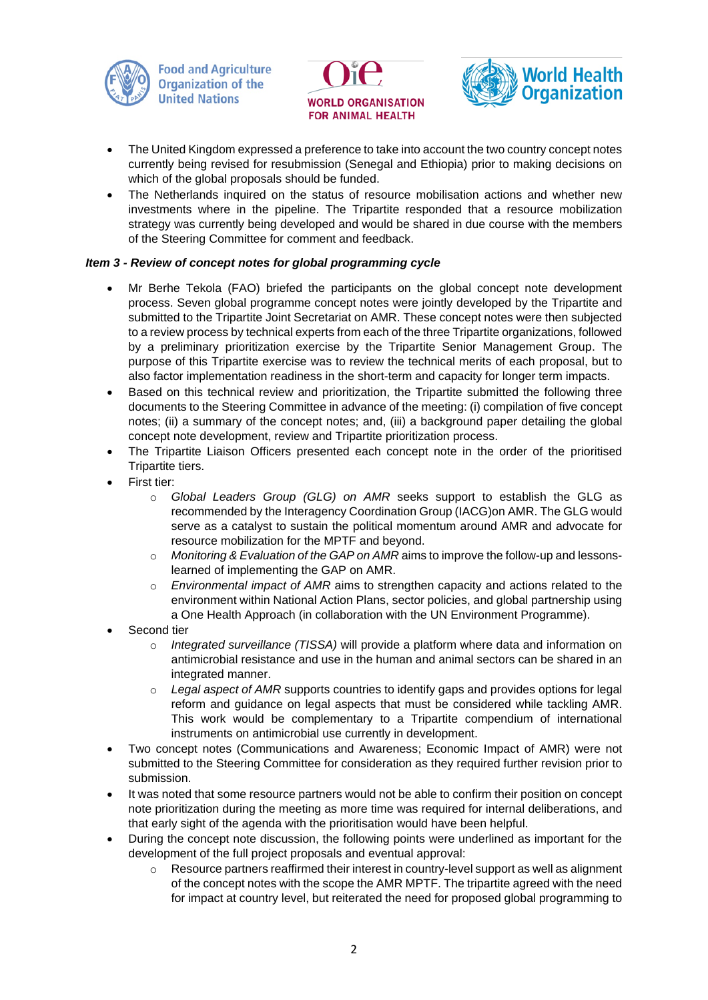





- The United Kingdom expressed a preference to take into account the two country concept notes currently being revised for resubmission (Senegal and Ethiopia) prior to making decisions on which of the global proposals should be funded.
- The Netherlands inquired on the status of resource mobilisation actions and whether new investments where in the pipeline. The Tripartite responded that a resource mobilization strategy was currently being developed and would be shared in due course with the members of the Steering Committee for comment and feedback.

# *Item 3 - Review of concept notes for global programming cycle*

- Mr Berhe Tekola (FAO) briefed the participants on the global concept note development process. Seven global programme concept notes were jointly developed by the Tripartite and submitted to the Tripartite Joint Secretariat on AMR. These concept notes were then subjected to a review process by technical experts from each of the three Tripartite organizations, followed by a preliminary prioritization exercise by the Tripartite Senior Management Group. The purpose of this Tripartite exercise was to review the technical merits of each proposal, but to also factor implementation readiness in the short-term and capacity for longer term impacts.
- Based on this technical review and prioritization, the Tripartite submitted the following three documents to the Steering Committee in advance of the meeting: (i) compilation of five concept notes; (ii) a summary of the concept notes; and, (iii) a background paper detailing the global concept note development, review and Tripartite prioritization process.
- The Tripartite Liaison Officers presented each concept note in the order of the prioritised Tripartite tiers.
- First tier:
	- o *Global Leaders Group (GLG) on AMR* seeks support to establish the GLG as recommended by the Interagency Coordination Group (IACG)on AMR. The GLG would serve as a catalyst to sustain the political momentum around AMR and advocate for resource mobilization for the MPTF and beyond.
	- o *Monitoring & Evaluation of the GAP on AMR* aims to improve the follow-up and lessonslearned of implementing the GAP on AMR.
	- o *Environmental impact of AMR* aims to strengthen capacity and actions related to the environment within National Action Plans, sector policies, and global partnership using a One Health Approach (in collaboration with the UN Environment Programme).
- Second tier
	- o *Integrated surveillance (TISSA)* will provide a platform where data and information on antimicrobial resistance and use in the human and animal sectors can be shared in an integrated manner.
	- Legal aspect of AMR supports countries to identify gaps and provides options for legal reform and guidance on legal aspects that must be considered while tackling AMR. This work would be complementary to a Tripartite compendium of international instruments on antimicrobial use currently in development.
- Two concept notes (Communications and Awareness; Economic Impact of AMR) were not submitted to the Steering Committee for consideration as they required further revision prior to submission.
- It was noted that some resource partners would not be able to confirm their position on concept note prioritization during the meeting as more time was required for internal deliberations, and that early sight of the agenda with the prioritisation would have been helpful.
- During the concept note discussion, the following points were underlined as important for the development of the full project proposals and eventual approval:
	- $\circ$  Resource partners reaffirmed their interest in country-level support as well as alignment of the concept notes with the scope the AMR MPTF. The tripartite agreed with the need for impact at country level, but reiterated the need for proposed global programming to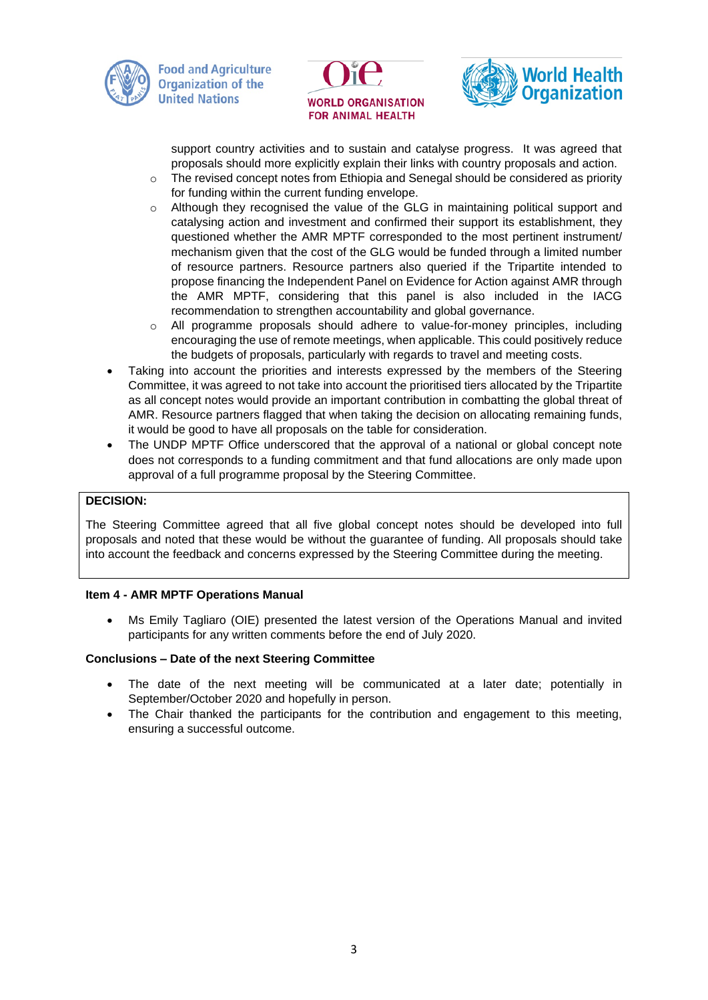





support country activities and to sustain and catalyse progress. It was agreed that proposals should more explicitly explain their links with country proposals and action.

- $\circ$  The revised concept notes from Ethiopia and Senegal should be considered as priority for funding within the current funding envelope.
- o Although they recognised the value of the GLG in maintaining political support and catalysing action and investment and confirmed their support its establishment, they questioned whether the AMR MPTF corresponded to the most pertinent instrument/ mechanism given that the cost of the GLG would be funded through a limited number of resource partners. Resource partners also queried if the Tripartite intended to propose financing the Independent Panel on Evidence for Action against AMR through the AMR MPTF, considering that this panel is also included in the IACG recommendation to strengthen accountability and global governance.
- All programme proposals should adhere to value-for-money principles, including encouraging the use of remote meetings, when applicable. This could positively reduce the budgets of proposals, particularly with regards to travel and meeting costs.
- Taking into account the priorities and interests expressed by the members of the Steering Committee, it was agreed to not take into account the prioritised tiers allocated by the Tripartite as all concept notes would provide an important contribution in combatting the global threat of AMR. Resource partners flagged that when taking the decision on allocating remaining funds, it would be good to have all proposals on the table for consideration.
- The UNDP MPTF Office underscored that the approval of a national or global concept note does not corresponds to a funding commitment and that fund allocations are only made upon approval of a full programme proposal by the Steering Committee.

# **DECISION:**

The Steering Committee agreed that all five global concept notes should be developed into full proposals and noted that these would be without the guarantee of funding. All proposals should take into account the feedback and concerns expressed by the Steering Committee during the meeting.

# **Item 4 - AMR MPTF Operations Manual**

• Ms Emily Tagliaro (OIE) presented the latest version of the Operations Manual and invited participants for any written comments before the end of July 2020.

# **Conclusions – Date of the next Steering Committee**

- The date of the next meeting will be communicated at a later date; potentially in September/October 2020 and hopefully in person.
- The Chair thanked the participants for the contribution and engagement to this meeting, ensuring a successful outcome.